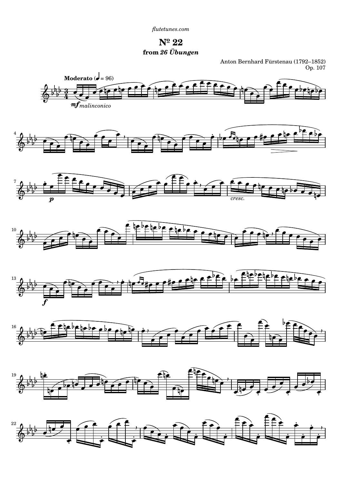*[flutetunes.com](http://www.flutetunes.com)*



Anton Bernhard Fürstenau (1792–1852) Op. 107